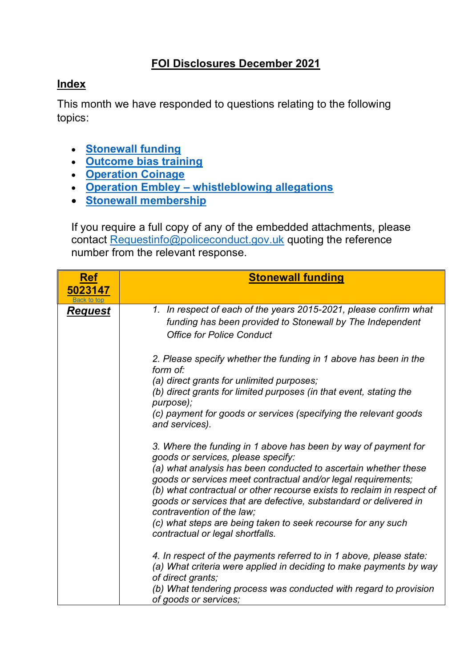## **FOI Disclosures December 2021**

## <span id="page-0-1"></span>**Index**

This month we have responded to questions relating to the following topics:

- **[Stonewall funding](#page-0-0)**
- **[Outcome bias training](#page-1-0)**
- **[Operation Coinage](#page-2-0)**
- **Operation Embley – [whistleblowing allegations](#page-3-0)**
- **[Stonewall membership](#page-4-0)**

If you require a full copy of any of the embedded attachments, please contact [Requestinfo@policeconduct.gov.uk](mailto:Requestinfo@policeconduct.gov.uk) quoting the reference number from the relevant response.

<span id="page-0-0"></span>

| <b>Ref</b>     | <b>Stonewall funding</b>                                                                                                                                                                                                                  |
|----------------|-------------------------------------------------------------------------------------------------------------------------------------------------------------------------------------------------------------------------------------------|
| 5023147        |                                                                                                                                                                                                                                           |
| <u>Request</u> | 1. In respect of each of the years 2015-2021, please confirm what<br>funding has been provided to Stonewall by The Independent<br><b>Office for Police Conduct</b>                                                                        |
|                | 2. Please specify whether the funding in 1 above has been in the<br>form of:<br>(a) direct grants for unlimited purposes;                                                                                                                 |
|                | (b) direct grants for limited purposes (in that event, stating the<br>purpose);                                                                                                                                                           |
|                | (c) payment for goods or services (specifying the relevant goods<br>and services).                                                                                                                                                        |
|                | 3. Where the funding in 1 above has been by way of payment for<br>goods or services, please specify:<br>(a) what analysis has been conducted to ascertain whether these                                                                   |
|                | goods or services meet contractual and/or legal requirements;<br>(b) what contractual or other recourse exists to reclaim in respect of<br>goods or services that are defective, substandard or delivered in<br>contravention of the law; |
|                | (c) what steps are being taken to seek recourse for any such<br>contractual or legal shortfalls.                                                                                                                                          |
|                | 4. In respect of the payments referred to in 1 above, please state:<br>(a) What criteria were applied in deciding to make payments by way                                                                                                 |
|                | of direct grants;<br>(b) What tendering process was conducted with regard to provision<br>of goods or services;                                                                                                                           |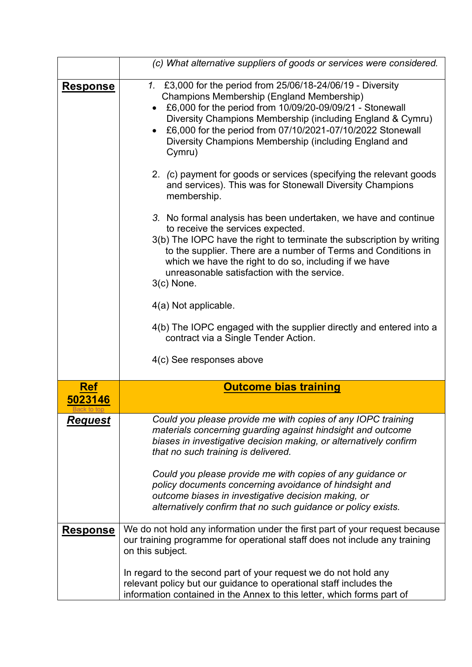<span id="page-1-0"></span>

|                       | (c) What alternative suppliers of goods or services were considered.                                                                                                                                                                                                                                                                                                                                                                                                                    |
|-----------------------|-----------------------------------------------------------------------------------------------------------------------------------------------------------------------------------------------------------------------------------------------------------------------------------------------------------------------------------------------------------------------------------------------------------------------------------------------------------------------------------------|
| <u>Response</u>       | £3,000 for the period from 25/06/18-24/06/19 - Diversity<br>1.<br>Champions Membership (England Membership)<br>£6,000 for the period from 10/09/20-09/09/21 - Stonewall<br>$\bullet$<br>Diversity Champions Membership (including England & Cymru)<br>£6,000 for the period from 07/10/2021-07/10/2022 Stonewall<br>$\bullet$<br>Diversity Champions Membership (including England and<br>Cymru)                                                                                        |
|                       | 2. (c) payment for goods or services (specifying the relevant goods<br>and services). This was for Stonewall Diversity Champions<br>membership.                                                                                                                                                                                                                                                                                                                                         |
|                       | 3. No formal analysis has been undertaken, we have and continue<br>to receive the services expected.<br>3(b) The IOPC have the right to terminate the subscription by writing<br>to the supplier. There are a number of Terms and Conditions in<br>which we have the right to do so, including if we have<br>unreasonable satisfaction with the service.<br>$3(c)$ None.                                                                                                                |
|                       | 4(a) Not applicable.                                                                                                                                                                                                                                                                                                                                                                                                                                                                    |
|                       | 4(b) The IOPC engaged with the supplier directly and entered into a<br>contract via a Single Tender Action.                                                                                                                                                                                                                                                                                                                                                                             |
|                       | 4(c) See responses above                                                                                                                                                                                                                                                                                                                                                                                                                                                                |
| <b>Ref</b><br>5023146 | <b>Outcome bias training</b>                                                                                                                                                                                                                                                                                                                                                                                                                                                            |
| Request               | Could you please provide me with copies of any IOPC training<br>materials concerning guarding against hindsight and outcome<br>biases in investigative decision making, or alternatively confirm<br>that no such training is delivered.<br>Could you please provide me with copies of any guidance or<br>policy documents concerning avoidance of hindsight and<br>outcome biases in investigative decision making, or<br>alternatively confirm that no such guidance or policy exists. |
| <u>Response</u>       | We do not hold any information under the first part of your request because<br>our training programme for operational staff does not include any training<br>on this subject.                                                                                                                                                                                                                                                                                                           |
|                       | In regard to the second part of your request we do not hold any<br>relevant policy but our guidance to operational staff includes the<br>information contained in the Annex to this letter, which forms part of                                                                                                                                                                                                                                                                         |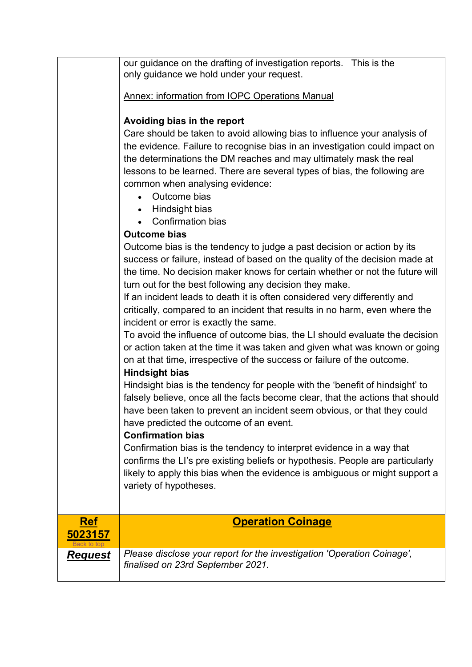<span id="page-2-0"></span>

|                       | our guidance on the drafting of investigation reports. This is the<br>only guidance we hold under your request.<br>Annex: information from IOPC Operations Manual<br>Avoiding bias in the report<br>Care should be taken to avoid allowing bias to influence your analysis of<br>the evidence. Failure to recognise bias in an investigation could impact on<br>the determinations the DM reaches and may ultimately mask the real<br>lessons to be learned. There are several types of bias, the following are<br>common when analysing evidence:<br>Outcome bias<br>Hindsight bias<br><b>Confirmation bias</b><br><b>Outcome bias</b><br>Outcome bias is the tendency to judge a past decision or action by its<br>success or failure, instead of based on the quality of the decision made at<br>the time. No decision maker knows for certain whether or not the future will<br>turn out for the best following any decision they make.<br>If an incident leads to death it is often considered very differently and<br>critically, compared to an incident that results in no harm, even where the<br>incident or error is exactly the same.<br>To avoid the influence of outcome bias, the LI should evaluate the decision<br>or action taken at the time it was taken and given what was known or going<br>on at that time, irrespective of the success or failure of the outcome.<br><b>Hindsight bias</b><br>Hindsight bias is the tendency for people with the 'benefit of hindsight' to<br>falsely believe, once all the facts become clear, that the actions that should<br>have been taken to prevent an incident seem obvious, or that they could<br>have predicted the outcome of an event.<br><b>Confirmation bias</b><br>Confirmation bias is the tendency to interpret evidence in a way that<br>confirms the LI's pre existing beliefs or hypothesis. People are particularly<br>likely to apply this bias when the evidence is ambiguous or might support a<br>variety of hypotheses. |
|-----------------------|-----------------------------------------------------------------------------------------------------------------------------------------------------------------------------------------------------------------------------------------------------------------------------------------------------------------------------------------------------------------------------------------------------------------------------------------------------------------------------------------------------------------------------------------------------------------------------------------------------------------------------------------------------------------------------------------------------------------------------------------------------------------------------------------------------------------------------------------------------------------------------------------------------------------------------------------------------------------------------------------------------------------------------------------------------------------------------------------------------------------------------------------------------------------------------------------------------------------------------------------------------------------------------------------------------------------------------------------------------------------------------------------------------------------------------------------------------------------------------------------------------------------------------------------------------------------------------------------------------------------------------------------------------------------------------------------------------------------------------------------------------------------------------------------------------------------------------------------------------------------------------------------------------------------------------------------------------------------------------------------------------------|
|                       |                                                                                                                                                                                                                                                                                                                                                                                                                                                                                                                                                                                                                                                                                                                                                                                                                                                                                                                                                                                                                                                                                                                                                                                                                                                                                                                                                                                                                                                                                                                                                                                                                                                                                                                                                                                                                                                                                                                                                                                                           |
| <b>Ref</b><br>5023157 | <b>Operation Coinage</b>                                                                                                                                                                                                                                                                                                                                                                                                                                                                                                                                                                                                                                                                                                                                                                                                                                                                                                                                                                                                                                                                                                                                                                                                                                                                                                                                                                                                                                                                                                                                                                                                                                                                                                                                                                                                                                                                                                                                                                                  |
| <u>Request</u>        | Please disclose your report for the investigation 'Operation Coinage',<br>finalised on 23rd September 2021.                                                                                                                                                                                                                                                                                                                                                                                                                                                                                                                                                                                                                                                                                                                                                                                                                                                                                                                                                                                                                                                                                                                                                                                                                                                                                                                                                                                                                                                                                                                                                                                                                                                                                                                                                                                                                                                                                               |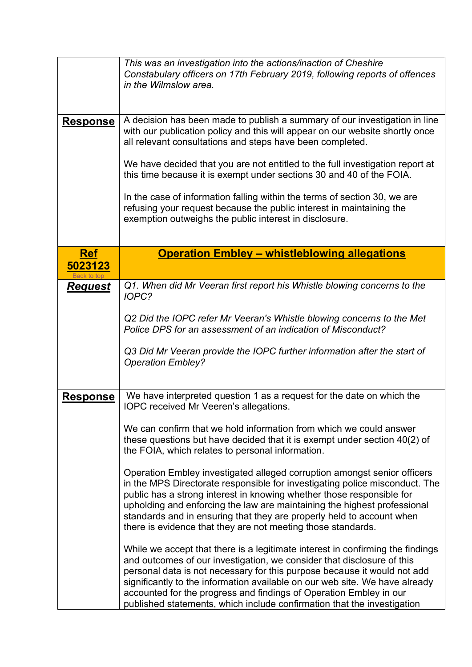<span id="page-3-0"></span>

|                 | This was an investigation into the actions/inaction of Cheshire<br>Constabulary officers on 17th February 2019, following reports of offences<br>in the Wilmslow area.                                                                                                                                                                                                                                                                                               |
|-----------------|----------------------------------------------------------------------------------------------------------------------------------------------------------------------------------------------------------------------------------------------------------------------------------------------------------------------------------------------------------------------------------------------------------------------------------------------------------------------|
| <u>Response</u> | A decision has been made to publish a summary of our investigation in line<br>with our publication policy and this will appear on our website shortly once<br>all relevant consultations and steps have been completed.                                                                                                                                                                                                                                              |
|                 | We have decided that you are not entitled to the full investigation report at<br>this time because it is exempt under sections 30 and 40 of the FOIA.                                                                                                                                                                                                                                                                                                                |
|                 | In the case of information falling within the terms of section 30, we are<br>refusing your request because the public interest in maintaining the<br>exemption outweighs the public interest in disclosure.                                                                                                                                                                                                                                                          |
| <b>Ref</b>      | <b>Operation Embley - whistleblowing allegations</b>                                                                                                                                                                                                                                                                                                                                                                                                                 |
| 5023123         |                                                                                                                                                                                                                                                                                                                                                                                                                                                                      |
| <u>Request</u>  | Q1. When did Mr Veeran first report his Whistle blowing concerns to the<br>IOPC?                                                                                                                                                                                                                                                                                                                                                                                     |
|                 | Q2 Did the IOPC refer Mr Veeran's Whistle blowing concerns to the Met<br>Police DPS for an assessment of an indication of Misconduct?                                                                                                                                                                                                                                                                                                                                |
|                 | Q3 Did Mr Veeran provide the IOPC further information after the start of<br><b>Operation Embley?</b>                                                                                                                                                                                                                                                                                                                                                                 |
| <u>Response</u> | We have interpreted question 1 as a request for the date on which the<br>IOPC received Mr Veeren's allegations.                                                                                                                                                                                                                                                                                                                                                      |
|                 | We can confirm that we hold information from which we could answer<br>these questions but have decided that it is exempt under section 40(2) of<br>the FOIA, which relates to personal information.                                                                                                                                                                                                                                                                  |
|                 | Operation Embley investigated alleged corruption amongst senior officers<br>in the MPS Directorate responsible for investigating police misconduct. The<br>public has a strong interest in knowing whether those responsible for<br>upholding and enforcing the law are maintaining the highest professional<br>standards and in ensuring that they are properly held to account when<br>there is evidence that they are not meeting those standards.                |
|                 | While we accept that there is a legitimate interest in confirming the findings<br>and outcomes of our investigation, we consider that disclosure of this<br>personal data is not necessary for this purpose because it would not add<br>significantly to the information available on our web site. We have already<br>accounted for the progress and findings of Operation Embley in our<br>published statements, which include confirmation that the investigation |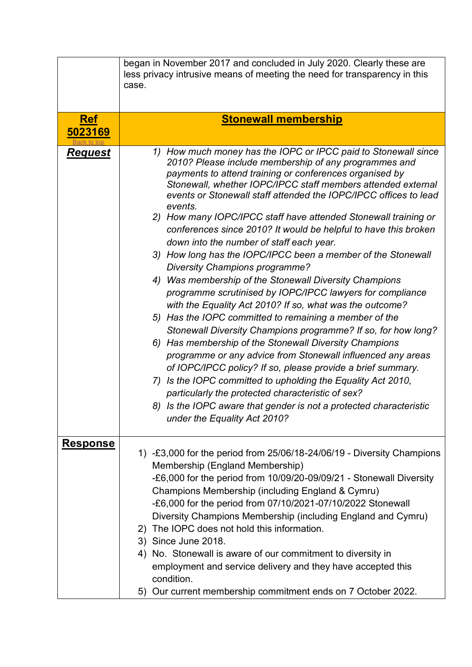<span id="page-4-0"></span>

|                       | began in November 2017 and concluded in July 2020. Clearly these are<br>less privacy intrusive means of meeting the need for transparency in this<br>case.                                                                                                                                                                                                                                                                                                                                                                                                                                                                                                                                                                                                                                                                                                                                                                                                                                                                                                                                                                                                                                                                                                                                                                                                                |
|-----------------------|---------------------------------------------------------------------------------------------------------------------------------------------------------------------------------------------------------------------------------------------------------------------------------------------------------------------------------------------------------------------------------------------------------------------------------------------------------------------------------------------------------------------------------------------------------------------------------------------------------------------------------------------------------------------------------------------------------------------------------------------------------------------------------------------------------------------------------------------------------------------------------------------------------------------------------------------------------------------------------------------------------------------------------------------------------------------------------------------------------------------------------------------------------------------------------------------------------------------------------------------------------------------------------------------------------------------------------------------------------------------------|
| <b>Ref</b><br>5023169 | <b>Stonewall membership</b>                                                                                                                                                                                                                                                                                                                                                                                                                                                                                                                                                                                                                                                                                                                                                                                                                                                                                                                                                                                                                                                                                                                                                                                                                                                                                                                                               |
| <u>Request</u>        | How much money has the IOPC or IPCC paid to Stonewall since<br>1)<br>2010? Please include membership of any programmes and<br>payments to attend training or conferences organised by<br>Stonewall, whether IOPC/IPCC staff members attended external<br>events or Stonewall staff attended the IOPC/IPCC offices to lead<br>events.<br>2) How many IOPC/IPCC staff have attended Stonewall training or<br>conferences since 2010? It would be helpful to have this broken<br>down into the number of staff each year.<br>3) How long has the IOPC/IPCC been a member of the Stonewall<br><b>Diversity Champions programme?</b><br>Was membership of the Stonewall Diversity Champions<br>4)<br>programme scrutinised by IOPC/IPCC lawyers for compliance<br>with the Equality Act 2010? If so, what was the outcome?<br>Has the IOPC committed to remaining a member of the<br>5)<br>Stonewall Diversity Champions programme? If so, for how long?<br>6) Has membership of the Stonewall Diversity Champions<br>programme or any advice from Stonewall influenced any areas<br>of IOPC/IPCC policy? If so, please provide a brief summary.<br>Is the IOPC committed to upholding the Equality Act 2010,<br>7)<br>particularly the protected characteristic of sex?<br>8) Is the IOPC aware that gender is not a protected characteristic<br>under the Equality Act 2010? |
| <b>Response</b>       | 1) -£3,000 for the period from 25/06/18-24/06/19 - Diversity Champions<br>Membership (England Membership)<br>-£6,000 for the period from 10/09/20-09/09/21 - Stonewall Diversity<br>Champions Membership (including England & Cymru)<br>-£6,000 for the period from 07/10/2021-07/10/2022 Stonewall<br>Diversity Champions Membership (including England and Cymru)<br>2) The IOPC does not hold this information.<br>3) Since June 2018.<br>4) No. Stonewall is aware of our commitment to diversity in<br>employment and service delivery and they have accepted this<br>condition.<br>5) Our current membership commitment ends on 7 October 2022.                                                                                                                                                                                                                                                                                                                                                                                                                                                                                                                                                                                                                                                                                                                     |